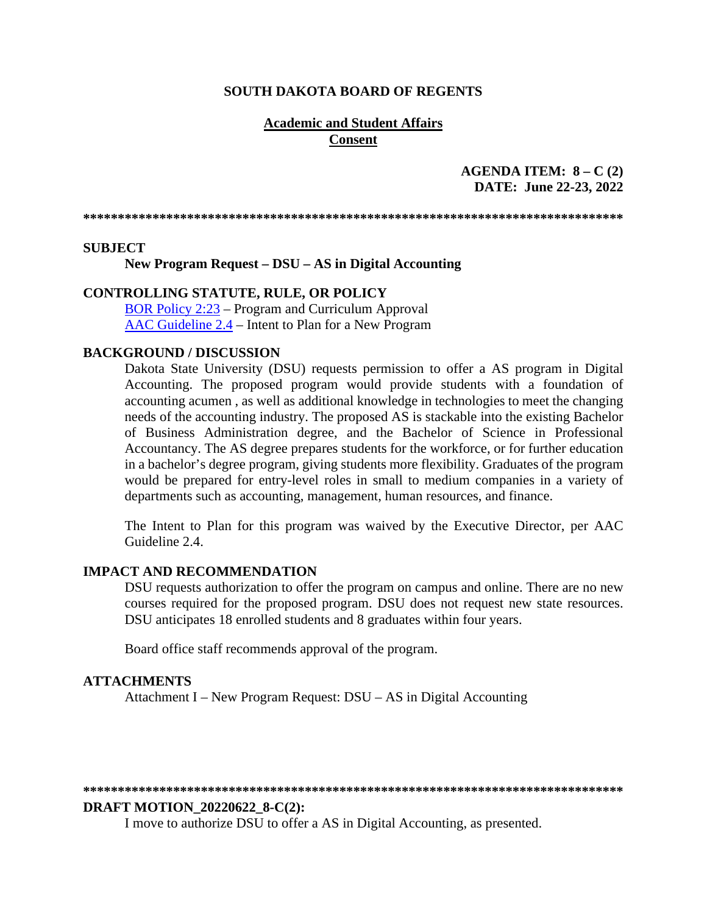#### **SOUTH DAKOTA BOARD OF REGENTS**

#### **Academic and Student Affairs Consent**

### **AGENDA ITEM: 8 – C (2) DATE: June 22-23, 2022**

**\*\*\*\*\*\*\*\*\*\*\*\*\*\*\*\*\*\*\*\*\*\*\*\*\*\*\*\*\*\*\*\*\*\*\*\*\*\*\*\*\*\*\*\*\*\*\*\*\*\*\*\*\*\*\*\*\*\*\*\*\*\*\*\*\*\*\*\*\*\*\*\*\*\*\*\*\*\*** 

#### **SUBJECT**

**New Program Request – DSU – AS in Digital Accounting**

#### **CONTROLLING STATUTE, RULE, OR POLICY**

[BOR Policy 2:23](https://www.sdbor.edu/policy/Documents/2-23.pdf) – Program and Curriculum Approval [AAC Guideline 2.4](https://www.sdbor.edu/administrative-offices/academics/academic-affairs-guidelines/Documents/2_Guidelines/2_4_Guideline.pdf) – Intent to Plan for a New Program

#### **BACKGROUND / DISCUSSION**

Dakota State University (DSU) requests permission to offer a AS program in Digital Accounting. The proposed program would provide students with a foundation of accounting acumen , as well as additional knowledge in technologies to meet the changing needs of the accounting industry. The proposed AS is stackable into the existing Bachelor of Business Administration degree, and the Bachelor of Science in Professional Accountancy. The AS degree prepares students for the workforce, or for further education in a bachelor's degree program, giving students more flexibility. Graduates of the program would be prepared for entry-level roles in small to medium companies in a variety of departments such as accounting, management, human resources, and finance.

The Intent to Plan for this program was waived by the Executive Director, per AAC Guideline 2.4.

#### **IMPACT AND RECOMMENDATION**

DSU requests authorization to offer the program on campus and online. There are no new courses required for the proposed program. DSU does not request new state resources. DSU anticipates 18 enrolled students and 8 graduates within four years.

Board office staff recommends approval of the program.

#### **ATTACHMENTS**

Attachment I – New Program Request: DSU – AS in Digital Accounting

#### **\*\*\*\*\*\*\*\*\*\*\*\*\*\*\*\*\*\*\*\*\*\*\*\*\*\*\*\*\*\*\*\*\*\*\*\*\*\*\*\*\*\*\*\*\*\*\*\*\*\*\*\*\*\*\*\*\*\*\*\*\*\*\*\*\*\*\*\*\*\*\*\*\*\*\*\*\*\***

#### **DRAFT MOTION\_20220622\_8-C(2):**

I move to authorize DSU to offer a AS in Digital Accounting, as presented.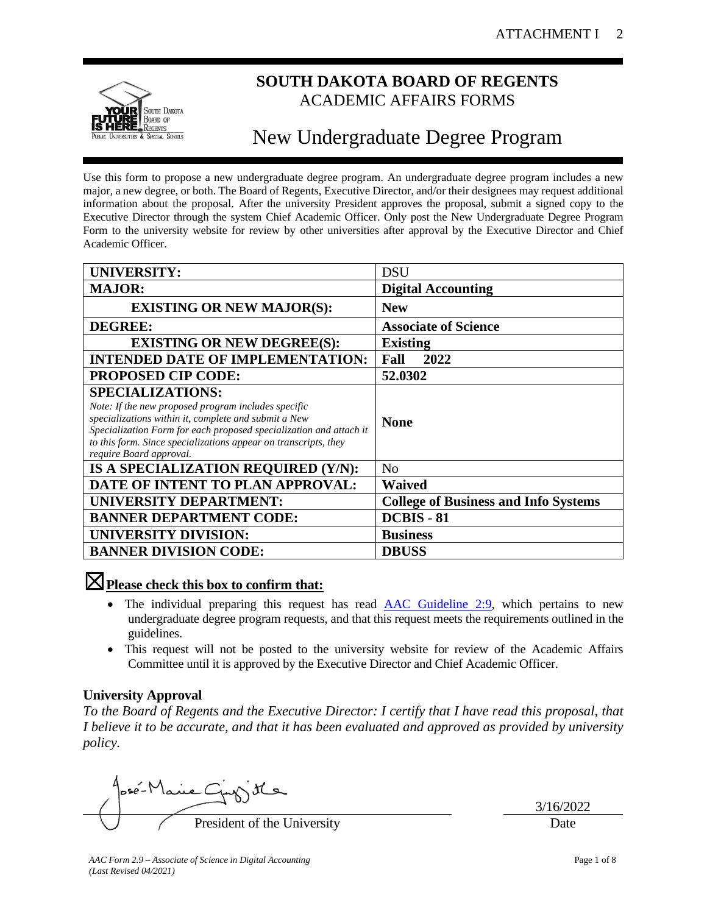

# **SOUTH DAKOTA BOARD OF REGENTS** ACADEMIC AFFAIRS FORMS

# New Undergraduate Degree Program

Use this form to propose a new undergraduate degree program. An undergraduate degree program includes a new major, a new degree, or both. The Board of Regents, Executive Director, and/or their designees may request additional information about the proposal. After the university President approves the proposal, submit a signed copy to the Executive Director through the system Chief Academic Officer. Only post the New Undergraduate Degree Program Form to the university website for review by other universities after approval by the Executive Director and Chief Academic Officer.

| <b>UNIVERSITY:</b>                                                                                                                                                                                                                                                                                         | <b>DSU</b>                                  |
|------------------------------------------------------------------------------------------------------------------------------------------------------------------------------------------------------------------------------------------------------------------------------------------------------------|---------------------------------------------|
| <b>MAJOR:</b>                                                                                                                                                                                                                                                                                              | <b>Digital Accounting</b>                   |
| <b>EXISTING OR NEW MAJOR(S):</b>                                                                                                                                                                                                                                                                           | <b>New</b>                                  |
| <b>DEGREE:</b>                                                                                                                                                                                                                                                                                             | <b>Associate of Science</b>                 |
| <b>EXISTING OR NEW DEGREE(S):</b>                                                                                                                                                                                                                                                                          | <b>Existing</b>                             |
| <b>INTENDED DATE OF IMPLEMENTATION:</b>                                                                                                                                                                                                                                                                    | 2022<br>Fall                                |
| <b>PROPOSED CIP CODE:</b>                                                                                                                                                                                                                                                                                  | 52.0302                                     |
| <b>SPECIALIZATIONS:</b><br>Note: If the new proposed program includes specific<br>specializations within it, complete and submit a New<br>Specialization Form for each proposed specialization and attach it<br>to this form. Since specializations appear on transcripts, they<br>require Board approval. | <b>None</b>                                 |
| IS A SPECIALIZATION REQUIRED (Y/N):                                                                                                                                                                                                                                                                        | N <sub>o</sub>                              |
| DATE OF INTENT TO PLAN APPROVAL:                                                                                                                                                                                                                                                                           | <b>Waived</b>                               |
| <b>UNIVERSITY DEPARTMENT:</b>                                                                                                                                                                                                                                                                              | <b>College of Business and Info Systems</b> |
| <b>BANNER DEPARTMENT CODE:</b>                                                                                                                                                                                                                                                                             | <b>DCBIS - 81</b>                           |
| <b>UNIVERSITY DIVISION:</b>                                                                                                                                                                                                                                                                                | <b>Business</b>                             |
| <b>BANNER DIVISION CODE:</b>                                                                                                                                                                                                                                                                               | <b>DBUSS</b>                                |

# ☒**Please check this box to confirm that:**

- The individual preparing this request has read [AAC Guideline 2:9,](https://www.sdbor.edu/administrative-offices/academics/academic-affairs-guidelines/Documents/2_Guidelines/2_9_Guideline.pdf) which pertains to new undergraduate degree program requests, and that this request meets the requirements outlined in the guidelines.
- This request will not be posted to the university website for review of the Academic Affairs Committee until it is approved by the Executive Director and Chief Academic Officer.

# **University Approval**

*To the Board of Regents and the Executive Director: I certify that I have read this proposal, that I believe it to be accurate, and that it has been evaluated and approved as provided by university policy.*

osé-Mane C President of the University Date

3/16/2022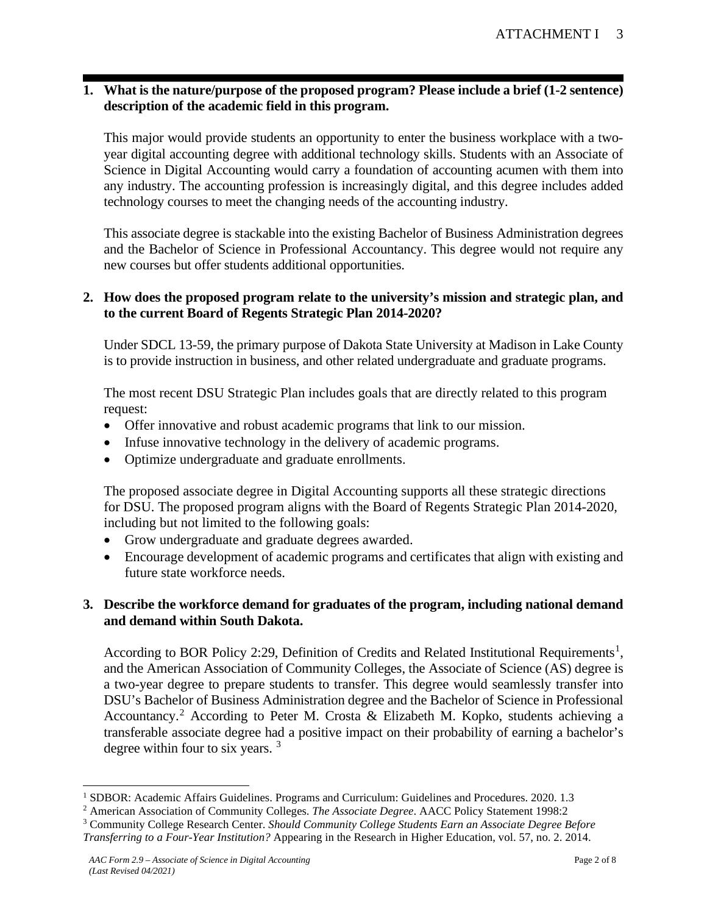# **1. What is the nature/purpose of the proposed program? Please include a brief (1-2 sentence) description of the academic field in this program.**

This major would provide students an opportunity to enter the business workplace with a twoyear digital accounting degree with additional technology skills. Students with an Associate of Science in Digital Accounting would carry a foundation of accounting acumen with them into any industry. The accounting profession is increasingly digital, and this degree includes added technology courses to meet the changing needs of the accounting industry.

This associate degree is stackable into the existing Bachelor of Business Administration degrees and the Bachelor of Science in Professional Accountancy. This degree would not require any new courses but offer students additional opportunities.

#### **2. How does the proposed program relate to the university's mission and strategic plan, and to the current Board of Regents Strategic Plan 2014-2020?**

Under SDCL 13-59, the primary purpose of Dakota State University at Madison in Lake County is to provide instruction in business, and other related undergraduate and graduate programs.

The most recent DSU Strategic Plan includes goals that are directly related to this program request:

- Offer innovative and robust academic programs that link to our mission.
- Infuse innovative technology in the delivery of academic programs.
- Optimize undergraduate and graduate enrollments.

The proposed associate degree in Digital Accounting supports all these strategic directions for DSU. The proposed program aligns with the Board of Regents Strategic Plan 2014-2020, including but not limited to the following goals:

- Grow undergraduate and graduate degrees awarded.
- Encourage development of academic programs and certificates that align with existing and future state workforce needs.

### **3. Describe the workforce demand for graduates of the program, including national demand and demand within South Dakota.**

According to BOR Policy 2:29, Definition of Credits and Related Institutional Requirements<sup>[1](#page-2-0)</sup>, and the American Association of Community Colleges, the Associate of Science (AS) degree is a two-year degree to prepare students to transfer. This degree would seamlessly transfer into DSU's Bachelor of Business Administration degree and the Bachelor of Science in Professional Accountancy.[2](#page-2-1) According to Peter M. Crosta & Elizabeth M. Kopko, students achieving a transferable associate degree had a positive impact on their probability of earning a bachelor's degree within four to six years.<sup>[3](#page-2-2)</sup>

<span id="page-2-0"></span><sup>&</sup>lt;sup>1</sup> SDBOR: Academic Affairs Guidelines. Programs and Curriculum: Guidelines and Procedures. 2020. 1.3

<span id="page-2-1"></span><sup>2</sup> American Association of Community Colleges. *The Associate Degree*. AACC Policy Statement 1998:2

<span id="page-2-2"></span><sup>3</sup> Community College Research Center. *Should Community College Students Earn an Associate Degree Before* 

*Transferring to a Four-Year Institution?* Appearing in the Research in Higher Education, vol. 57, no. 2. 2014.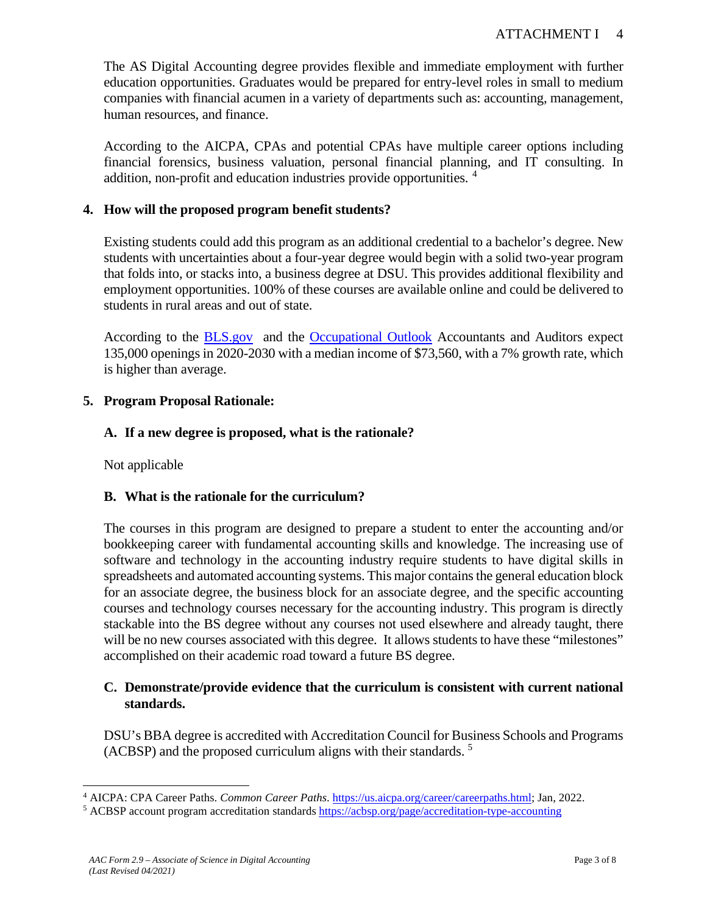The AS Digital Accounting degree provides flexible and immediate employment with further education opportunities. Graduates would be prepared for entry-level roles in small to medium companies with financial acumen in a variety of departments such as: accounting, management, human resources, and finance.

According to the AICPA, CPAs and potential CPAs have multiple career options including financial forensics, business valuation, personal financial planning, and IT consulting. In addition, non-profit and education industries provide opportunities. [4](#page-3-0)

# **4. How will the proposed program benefit students?**

Existing students could add this program as an additional credential to a bachelor's degree. New students with uncertainties about a four-year degree would begin with a solid two-year program that folds into, or stacks into, a business degree at DSU. This provides additional flexibility and employment opportunities. 100% of these courses are available online and could be delivered to students in rural areas and out of state.

According to the **BLS.gov** and the **Occupational Outlook** Accountants and Auditors expect 135,000 openings in 2020-2030 with a median income of \$73,560, with a 7% growth rate, which is higher than average.

# **5. Program Proposal Rationale:**

# **A. If a new degree is proposed, what is the rationale?**

Not applicable

# **B. What is the rationale for the curriculum?**

The courses in this program are designed to prepare a student to enter the accounting and/or bookkeeping career with fundamental accounting skills and knowledge. The increasing use of software and technology in the accounting industry require students to have digital skills in spreadsheets and automated accounting systems. This major contains the general education block for an associate degree, the business block for an associate degree, and the specific accounting courses and technology courses necessary for the accounting industry. This program is directly stackable into the BS degree without any courses not used elsewhere and already taught, there will be no new courses associated with this degree. It allows students to have these "milestones" accomplished on their academic road toward a future BS degree.

### **C. Demonstrate/provide evidence that the curriculum is consistent with current national standards.**

DSU's BBA degree is accredited with Accreditation Council for Business Schools and Programs (ACBSP) and the proposed curriculum aligns with their standards. 5

<span id="page-3-0"></span><sup>4</sup> AICPA: CPA Career Paths. *Common Career Paths*. [https://us.aicpa.org/career/careerpaths.html;](https://us.aicpa.org/career/careerpaths.html) Jan, 2022.

<sup>5</sup> ACBSP account program accreditation standards<https://acbsp.org/page/accreditation-type-accounting>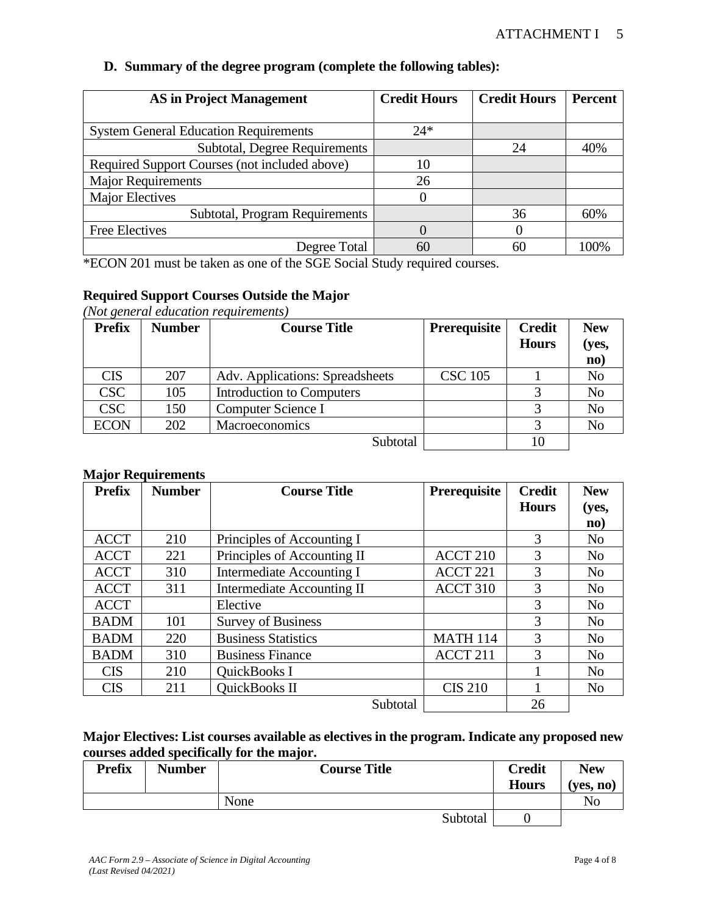| <b>AS in Project Management</b>               | <b>Credit Hours</b> | <b>Credit Hours</b> | <b>Percent</b> |
|-----------------------------------------------|---------------------|---------------------|----------------|
|                                               |                     |                     |                |
| <b>System General Education Requirements</b>  | $24*$               |                     |                |
| Subtotal, Degree Requirements                 |                     | 24                  | 40%            |
| Required Support Courses (not included above) | 10                  |                     |                |
| <b>Major Requirements</b>                     | 26                  |                     |                |
| <b>Major Electives</b>                        |                     |                     |                |
| Subtotal, Program Requirements                |                     | 36                  | 60%            |
| <b>Free Electives</b>                         |                     | $\Omega$            |                |
| Degree Total                                  | 60                  | 60                  | 100%           |

#### **D. Summary of the degree program (complete the following tables):**

\*ECON 201 must be taken as one of the SGE Social Study required courses.

### **Required Support Courses Outside the Major**

*(Not general education requirements)*

| <b>Prefix</b> | <b>Number</b> | <b>Course Title</b>             | <b>Prerequisite</b> | <b>Credit</b><br><b>Hours</b> | <b>New</b><br>(yes,<br>$\mathbf{no}$ |
|---------------|---------------|---------------------------------|---------------------|-------------------------------|--------------------------------------|
| <b>CIS</b>    | 207           | Adv. Applications: Spreadsheets | <b>CSC 105</b>      |                               | N <sub>o</sub>                       |
| <b>CSC</b>    | 105           | Introduction to Computers       |                     |                               | N <sub>o</sub>                       |
| <b>CSC</b>    | 150           | Computer Science I              |                     |                               | N <sub>o</sub>                       |
| <b>ECON</b>   | 202           | <b>Macroeconomics</b>           |                     |                               | N <sub>o</sub>                       |
|               |               | Subtotal                        |                     |                               |                                      |

#### **Major Requirements**

| <b>Prefix</b> | <b>Number</b> | <b>Course Title</b>               | Prerequisite        | <b>Credit</b> | <b>New</b>     |
|---------------|---------------|-----------------------------------|---------------------|---------------|----------------|
|               |               |                                   |                     | <b>Hours</b>  | (yes,          |
|               |               |                                   |                     |               | $\mathbf{no}$  |
| <b>ACCT</b>   | 210           | Principles of Accounting I        |                     | 3             | N <sub>o</sub> |
| <b>ACCT</b>   | 221           | Principles of Accounting II       | ACCT <sub>210</sub> | 3             | N <sub>0</sub> |
| <b>ACCT</b>   | 310           | <b>Intermediate Accounting I</b>  | ACCT <sub>221</sub> | 3             | N <sub>o</sub> |
| <b>ACCT</b>   | 311           | <b>Intermediate Accounting II</b> | ACCT 310            | 3             | N <sub>o</sub> |
| <b>ACCT</b>   |               | Elective                          |                     | 3             | N <sub>o</sub> |
| <b>BADM</b>   | 101           | <b>Survey of Business</b>         |                     | 3             | No             |
| <b>BADM</b>   | 220           | <b>Business Statistics</b>        | <b>MATH 114</b>     | 3             | N <sub>o</sub> |
| <b>BADM</b>   | 310           | <b>Business Finance</b>           | ACCT <sub>211</sub> | 3             | No             |
| <b>CIS</b>    | 210           | QuickBooks I                      |                     |               | N <sub>o</sub> |
| <b>CIS</b>    | 211           | QuickBooks II                     | <b>CIS 210</b>      |               | N <sub>o</sub> |
|               |               | Subtotal                          |                     | 26            |                |

**Major Electives: List courses available as electives in the program. Indicate any proposed new courses added specifically for the major.**

| <b>Prefix</b> | <b>Number</b> |      | <b>Course Title</b> |          | <b>Credit</b><br><b>Hours</b> | <b>New</b><br>(ves. no) |
|---------------|---------------|------|---------------------|----------|-------------------------------|-------------------------|
|               |               | None |                     |          |                               | No                      |
|               |               |      |                     | Subtotal |                               |                         |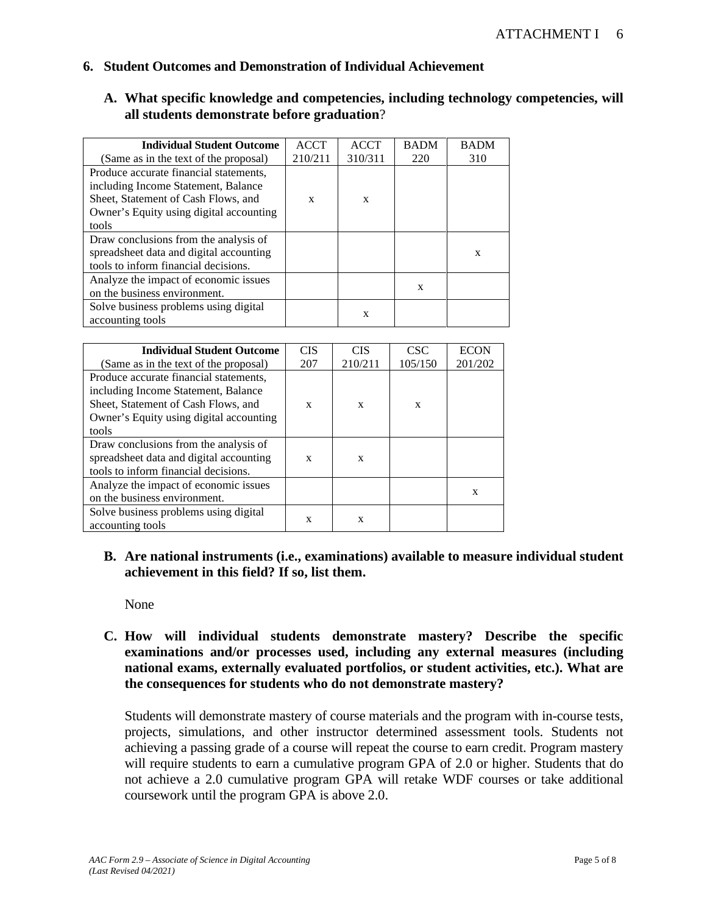#### **6. Student Outcomes and Demonstration of Individual Achievement**

#### **A. What specific knowledge and competencies, including technology competencies, will all students demonstrate before graduation**?

| <b>Individual Student Outcome</b>       | <b>ACCT</b> | <b>ACCT</b> | <b>BADM</b> | <b>BADM</b> |
|-----------------------------------------|-------------|-------------|-------------|-------------|
| (Same as in the text of the proposal)   | 210/211     | 310/311     | 220         | 310         |
| Produce accurate financial statements,  |             |             |             |             |
| including Income Statement, Balance     |             |             |             |             |
| Sheet, Statement of Cash Flows, and     | X           | X           |             |             |
| Owner's Equity using digital accounting |             |             |             |             |
| tools                                   |             |             |             |             |
| Draw conclusions from the analysis of   |             |             |             |             |
| spreadsheet data and digital accounting |             |             |             | X           |
| tools to inform financial decisions.    |             |             |             |             |
| Analyze the impact of economic issues   |             |             |             |             |
| on the business environment.            |             |             | X           |             |
| Solve business problems using digital   |             |             |             |             |
| accounting tools                        |             | X           |             |             |

| <b>Individual Student Outcome</b>       | <b>CIS</b> | <b>CIS</b> | <b>CSC</b> | <b>ECON</b> |
|-----------------------------------------|------------|------------|------------|-------------|
| (Same as in the text of the proposal)   | 207        | 210/211    | 105/150    | 201/202     |
| Produce accurate financial statements,  |            |            |            |             |
| including Income Statement, Balance     |            |            |            |             |
| Sheet, Statement of Cash Flows, and     | X          | X          | X          |             |
| Owner's Equity using digital accounting |            |            |            |             |
| tools                                   |            |            |            |             |
| Draw conclusions from the analysis of   |            |            |            |             |
| spreadsheet data and digital accounting | X          | X          |            |             |
| tools to inform financial decisions.    |            |            |            |             |
| Analyze the impact of economic issues   |            |            |            |             |
| on the business environment.            |            |            |            | X           |
| Solve business problems using digital   |            |            |            |             |
| accounting tools                        | X          | X          |            |             |

### **B. Are national instruments (i.e., examinations) available to measure individual student achievement in this field? If so, list them.**

None

**C. How will individual students demonstrate mastery? Describe the specific examinations and/or processes used, including any external measures (including national exams, externally evaluated portfolios, or student activities, etc.). What are the consequences for students who do not demonstrate mastery?**

Students will demonstrate mastery of course materials and the program with in-course tests, projects, simulations, and other instructor determined assessment tools. Students not achieving a passing grade of a course will repeat the course to earn credit. Program mastery will require students to earn a cumulative program GPA of 2.0 or higher. Students that do not achieve a 2.0 cumulative program GPA will retake WDF courses or take additional coursework until the program GPA is above 2.0.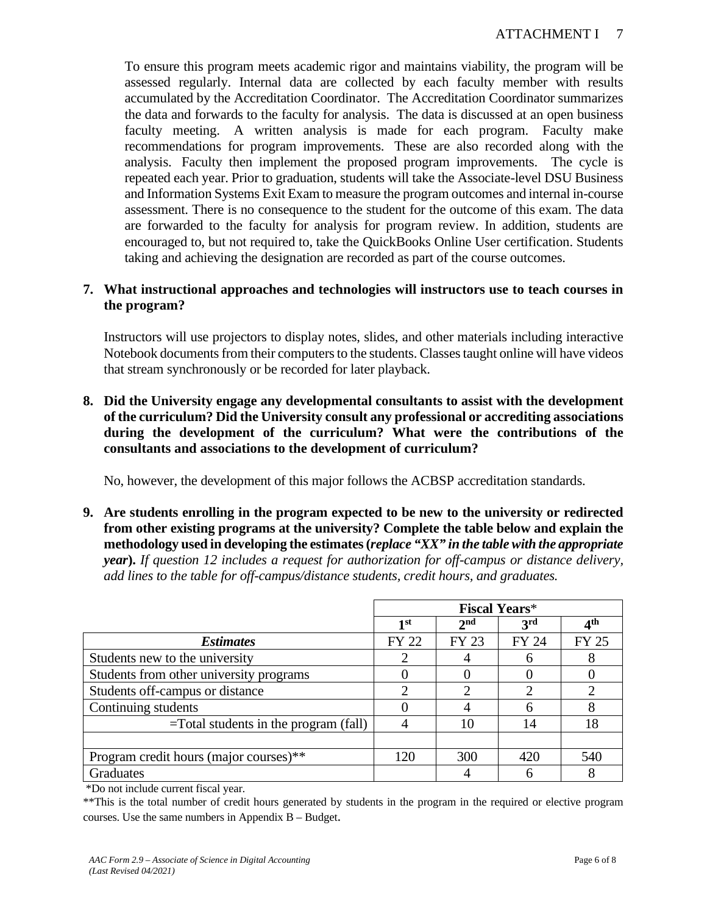To ensure this program meets academic rigor and maintains viability, the program will be assessed regularly. Internal data are collected by each faculty member with results accumulated by the Accreditation Coordinator. The Accreditation Coordinator summarizes the data and forwards to the faculty for analysis. The data is discussed at an open business faculty meeting. A written analysis is made for each program. Faculty make recommendations for program improvements. These are also recorded along with the analysis. Faculty then implement the proposed program improvements. The cycle is repeated each year. Prior to graduation, students will take the Associate-level DSU Business and Information Systems Exit Exam to measure the program outcomes and internal in-course assessment. There is no consequence to the student for the outcome of this exam. The data are forwarded to the faculty for analysis for program review. In addition, students are encouraged to, but not required to, take the QuickBooks Online User certification. Students taking and achieving the designation are recorded as part of the course outcomes.

### **7. What instructional approaches and technologies will instructors use to teach courses in the program?**

Instructors will use projectors to display notes, slides, and other materials including interactive Notebook documents from their computers to the students. Classes taught online will have videos that stream synchronously or be recorded for later playback.

**8. Did the University engage any developmental consultants to assist with the development of the curriculum? Did the University consult any professional or accrediting associations during the development of the curriculum? What were the contributions of the consultants and associations to the development of curriculum?**

No, however, the development of this major follows the ACBSP accreditation standards.

**9. Are students enrolling in the program expected to be new to the university or redirected from other existing programs at the university? Complete the table below and explain the methodology used in developing the estimates (***replace "XX" in the table with the appropriate year***).** *If question 12 includes a request for authorization for off-campus or distance delivery, add lines to the table for off-campus/distance students, credit hours, and graduates.*

|                                          | <b>Fiscal Years*</b> |                 |                 |                 |
|------------------------------------------|----------------------|-----------------|-----------------|-----------------|
|                                          | 1st                  | 2 <sup>nd</sup> | 3 <sup>rd</sup> | 4 <sup>th</sup> |
| <i>Estimates</i>                         | FY 22                | FY 23           | FY 24           | <b>FY 25</b>    |
| Students new to the university           |                      |                 |                 |                 |
| Students from other university programs  |                      |                 |                 |                 |
| Students off-campus or distance          |                      |                 |                 |                 |
| Continuing students                      |                      |                 |                 |                 |
| $=$ Total students in the program (fall) |                      | 10              | 14              | 18              |
|                                          |                      |                 |                 |                 |
| Program credit hours (major courses)**   | 120                  | 300             | 420             | 540             |
| Graduates                                |                      |                 |                 |                 |

\*Do not include current fiscal year.

<sup>\*\*</sup>This is the total number of credit hours generated by students in the program in the required or elective program courses. Use the same numbers in Appendix B – Budget.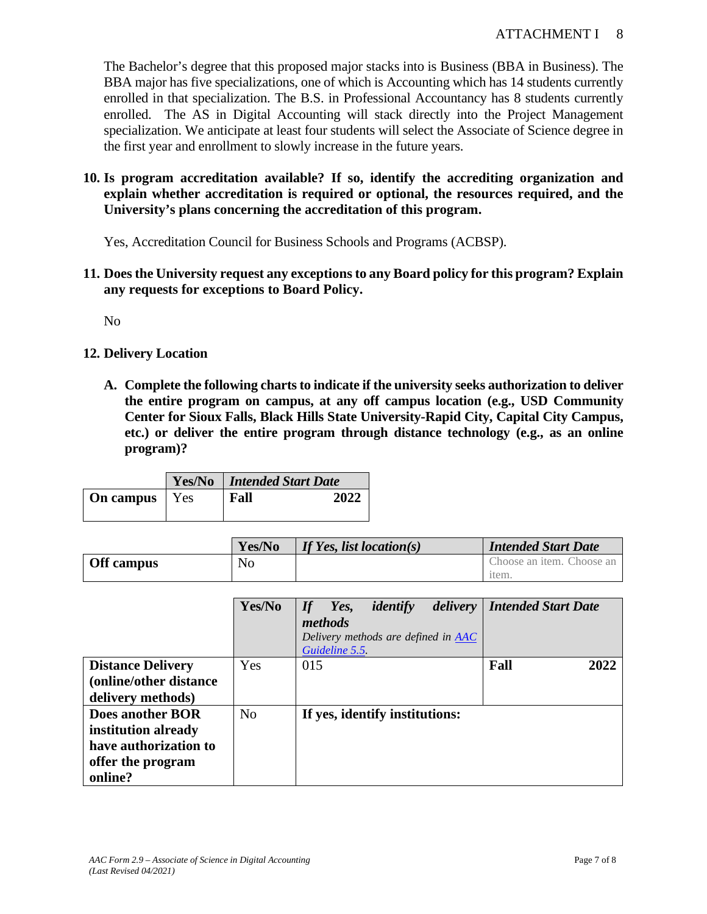The Bachelor's degree that this proposed major stacks into is Business (BBA in Business). The BBA major has five specializations, one of which is Accounting which has 14 students currently enrolled in that specialization. The B.S. in Professional Accountancy has 8 students currently enrolled. The AS in Digital Accounting will stack directly into the Project Management specialization. We anticipate at least four students will select the Associate of Science degree in the first year and enrollment to slowly increase in the future years.

### **10. Is program accreditation available? If so, identify the accrediting organization and explain whether accreditation is required or optional, the resources required, and the University's plans concerning the accreditation of this program.**

Yes, Accreditation Council for Business Schools and Programs (ACBSP).

**11. Does the University request any exceptions to any Board policy for this program? Explain any requests for exceptions to Board Policy.**

No

- **12. Delivery Location**
	- **A. Complete the following charts to indicate if the university seeks authorization to deliver the entire program on campus, at any off campus location (e.g., USD Community Center for Sioux Falls, Black Hills State University-Rapid City, Capital City Campus, etc.) or deliver the entire program through distance technology (e.g., as an online program)?**

|                  |                | <b>Yes/No</b>   Intended Start Date |      |  |
|------------------|----------------|-------------------------------------|------|--|
| <b>On campus</b> | $\mathbf{Yes}$ | Fall                                | 2022 |  |
|                  |                |                                     |      |  |

|            | Yes/No | If Yes, list location(s) | <b>Intended Start Date</b> |
|------------|--------|--------------------------|----------------------------|
| Off campus | No     |                          | Choose an item. Choose an  |
|            |        |                          | <sub>1</sub> tem           |

|                          | Yes/No         | <b>Intended Start Date</b><br>identify<br>delivery<br>Yes,<br>If |
|--------------------------|----------------|------------------------------------------------------------------|
|                          |                | methods                                                          |
|                          |                | Delivery methods are defined in <b>AAC</b>                       |
|                          |                | Guideline 5.5.                                                   |
| <b>Distance Delivery</b> | Yes            | 015<br>Fall<br>2022                                              |
| (online/other distance)  |                |                                                                  |
| delivery methods)        |                |                                                                  |
| Does another BOR         | N <sub>0</sub> | If yes, identify institutions:                                   |
| institution already      |                |                                                                  |
| have authorization to    |                |                                                                  |
| offer the program        |                |                                                                  |
| online?                  |                |                                                                  |